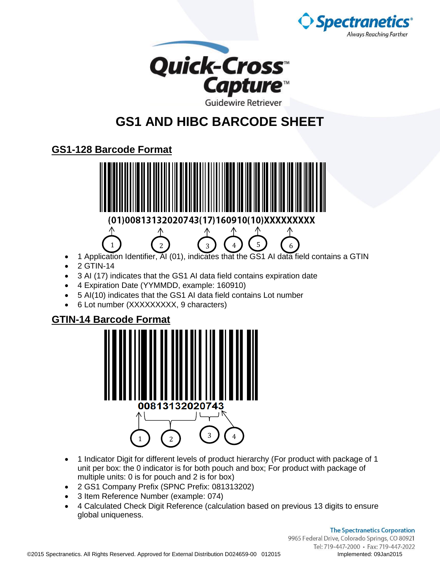



## **GS1 AND HIBC BARCODE SHEET**

## **GS1-128 Barcode Format**



- 1 Application Identifier, AI (01), indicates that the GS1 AI data field contains a GTIN
- 2 GTIN-14
- 3 AI (17) indicates that the GS1 AI data field contains expiration date
- 4 Expiration Date (YYMMDD, example: 160910)
- 5 AI(10) indicates that the GS1 AI data field contains Lot number
- 6 Lot number (XXXXXXXXX, 9 characters)

## **GTIN-14 Barcode Format**



- 1 Indicator Digit for different levels of product hierarchy (For product with package of 1 unit per box: the 0 indicator is for both pouch and box; For product with package of multiple units: 0 is for pouch and 2 is for box)
- 2 GS1 Company Prefix (SPNC Prefix: 081313202)
- 3 Item Reference Number (example: 074)
- 4 Calculated Check Digit Reference (calculation based on previous 13 digits to ensure global uniqueness.